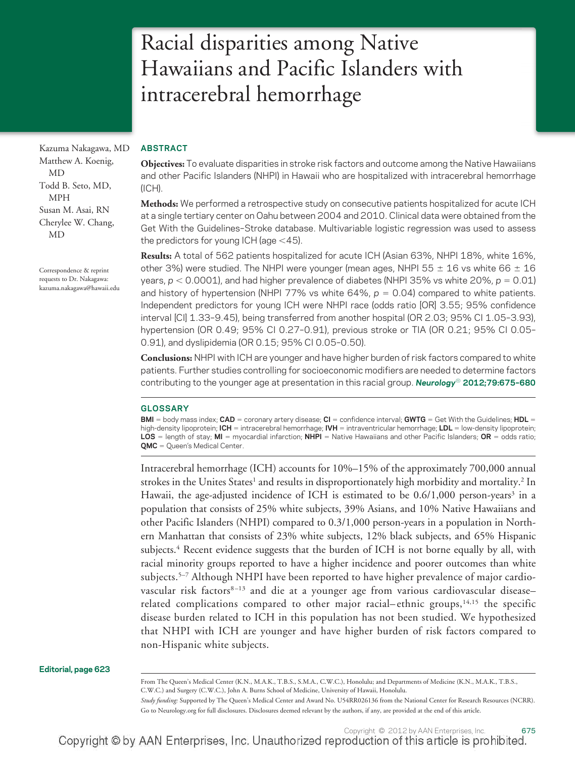# Racial disparities among Native Hawaiians and Pacific Islanders with intracerebral hemorrhage

Kazuma Nakagawa, MD Matthew A. Koenig, MD Todd B. Seto, MD, MPH

Susan M. Asai, RN Cherylee W. Chang, MD

Correspondence & reprint requests to Dr. Nakagawa: kazuma.nakagawa@hawaii.edu

### **ABSTRACT**

**Objectives:** To evaluate disparities in stroke risk factors and outcome among the Native Hawaiians and other Pacific Islanders (NHPI) in Hawaii who are hospitalized with intracerebral hemorrhage (ICH).

**Methods:** We performed a retrospective study on consecutive patients hospitalized for acute ICH at a single tertiary center on Oahu between 2004 and 2010. Clinical data were obtained from the Get With the Guidelines–Stroke database. Multivariable logistic regression was used to assess the predictors for young ICH (age  $<$ 45).

**Results:** A total of 562 patients hospitalized for acute ICH (Asian 63%, NHPI 18%, white 16%, other 3%) were studied. The NHPI were younger (mean ages, NHPI 55  $\pm$  16 vs white 66  $\pm$  16 years,  $p < 0.0001$ ), and had higher prevalence of diabetes (NHPI 35% vs white 20%,  $p = 0.01$ ) and history of hypertension (NHPI 77% vs white  $64\%$ ,  $p = 0.04$ ) compared to white patients. Independent predictors for young ICH were NHPI race (odds ratio [OR] 3.55; 95% confidence interval [CI] 1.33–9.45), being transferred from another hospital (OR 2.03; 95% CI 1.05–3.93), hypertension (OR 0.49; 95% CI 0.27–0.91), previous stroke or TIA (OR 0.21; 95% CI 0.05– 0.91), and dyslipidemia (OR 0.15; 95% CI 0.05–0.50).

**Conclusions:** NHPI with ICH are younger and have higher burden of risk factors compared to white patients. Further studies controlling for socioeconomic modifiers are needed to determine factors contributing to the younger age at presentation in this racial group. *Neurology*® **2012;79:675–680**

#### **GLOSSARY**

**BMI** = body mass index; **CAD** = coronary artery disease; **CI** = confidence interval; **GWTG** = Get With the Guidelines; HDL = high-density lipoprotein; ICH = intracerebral hemorrhage; IVH = intraventricular hemorrhage; LDL = low-density lipoprotein; LOS = length of stay; MI = myocardial infarction; NHPI = Native Hawaiians and other Pacific Islanders; OR = odds ratio; **QMC** = Queen's Medical Center.

Intracerebral hemorrhage (ICH) accounts for 10%–15% of the approximately 700,000 annual strokes in the Unites States<sup>1</sup> and results in disproportionately high morbidity and mortality.<sup>2</sup> In Hawaii, the age-adjusted incidence of ICH is estimated to be  $0.6/1,000$  person-years<sup>3</sup> in a population that consists of 25% white subjects, 39% Asians, and 10% Native Hawaiians and other Pacific Islanders (NHPI) compared to 0.3/1,000 person-years in a population in Northern Manhattan that consists of 23% white subjects, 12% black subjects, and 65% Hispanic subjects.<sup>4</sup> Recent evidence suggests that the burden of ICH is not borne equally by all, with racial minority groups reported to have a higher incidence and poorer outcomes than white subjects.<sup>5–7</sup> Although NHPI have been reported to have higher prevalence of major cardiovascular risk factors<sup>8-13</sup> and die at a younger age from various cardiovascular diseaserelated complications compared to other major racial–ethnic groups, $14,15$  the specific disease burden related to ICH in this population has not been studied. We hypothesized that NHPI with ICH are younger and have higher burden of risk factors compared to non-Hispanic white subjects.

**Editorial, page 623**

Copyright © 2012 by AAN Enterprises, Inc. 675

Copyright © by AAN Enterprises, Inc. Unauthorized reproduction of this article is prohibited.

From The Queen's Medical Center (K.N., M.A.K., T.B.S., S.M.A., C.W.C.), Honolulu; and Departments of Medicine (K.N., M.A.K., T.B.S., C.W.C.) and Surgery (C.W.C.), John A. Burns School of Medicine, University of Hawaii, Honolulu.

*Study funding:* Supported by The Queen's Medical Center and Award No. U54RR026136 from the National Center for Research Resources (NCRR). Go to Neurology.org for full disclosures. Disclosures deemed relevant by the authors, if any, are provided at the end of this article.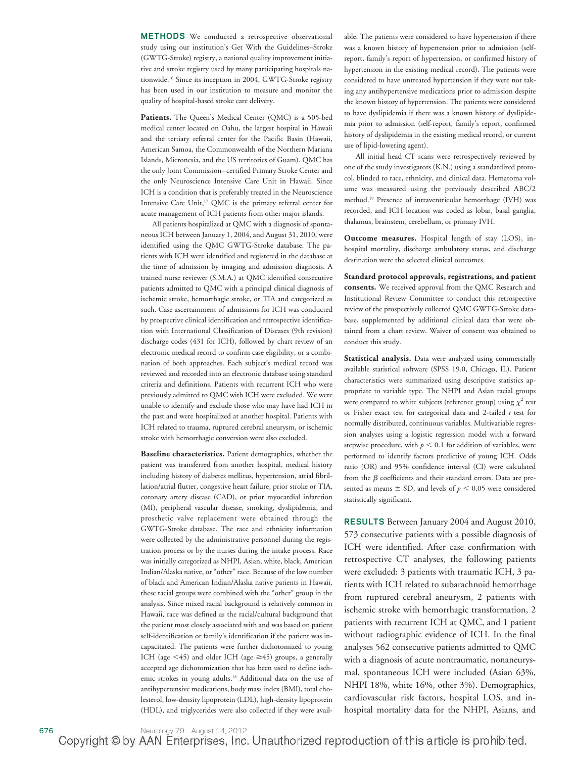**METHODS** We conducted a retrospective observational study using our institution's Get With the Guidelines–Stroke (GWTG-Stroke) registry, a national quality improvement initiative and stroke registry used by many participating hospitals nationwide.16 Since its inception in 2004, GWTG-Stroke registry has been used in our institution to measure and monitor the quality of hospital-based stroke care delivery.

Patients. The Queen's Medical Center (QMC) is a 505-bed medical center located on Oahu, the largest hospital in Hawaii and the tertiary referral center for the Pacific Basin (Hawaii, American Samoa, the Commonwealth of the Northern Mariana Islands, Micronesia, and the US territories of Guam). QMC has the only Joint Commission– certified Primary Stroke Center and the only Neuroscience Intensive Care Unit in Hawaii. Since ICH is a condition that is preferably treated in the Neuroscience Intensive Care Unit,<sup>17</sup> QMC is the primary referral center for acute management of ICH patients from other major islands.

All patients hospitalized at QMC with a diagnosis of spontaneous ICH between January 1, 2004, and August 31, 2010, were identified using the QMC GWTG-Stroke database. The patients with ICH were identified and registered in the database at the time of admission by imaging and admission diagnosis. A trained nurse reviewer (S.M.A.) at QMC identified consecutive patients admitted to QMC with a principal clinical diagnosis of ischemic stroke, hemorrhagic stroke, or TIA and categorized as such. Case ascertainment of admissions for ICH was conducted by prospective clinical identification and retrospective identification with International Classification of Diseases (9th revision) discharge codes (431 for ICH), followed by chart review of an electronic medical record to confirm case eligibility, or a combination of both approaches. Each subject's medical record was reviewed and recorded into an electronic database using standard criteria and definitions. Patients with recurrent ICH who were previously admitted to QMC with ICH were excluded. We were unable to identify and exclude those who may have had ICH in the past and were hospitalized at another hospital. Patients with ICH related to trauma, ruptured cerebral aneurysm, or ischemic stroke with hemorrhagic conversion were also excluded.

**Baseline characteristics.** Patient demographics, whether the patient was transferred from another hospital, medical history including history of diabetes mellitus, hypertension, atrial fibrillation/atrial flutter, congestive heart failure, prior stroke or TIA, coronary artery disease (CAD), or prior myocardial infarction (MI), peripheral vascular disease, smoking, dyslipidemia, and prosthetic valve replacement were obtained through the GWTG-Stroke database. The race and ethnicity information were collected by the administrative personnel during the registration process or by the nurses during the intake process. Race was initially categorized as NHPI, Asian, white, black, American Indian/Alaska native, or "other" race. Because of the low number of black and American Indian/Alaska native patients in Hawaii, these racial groups were combined with the "other" group in the analysis. Since mixed racial background is relatively common in Hawaii, race was defined as the racial/cultural background that the patient most closely associated with and was based on patient self-identification or family's identification if the patient was incapacitated. The patients were further dichotomized to young ICH (age  $\leq$ 45) and older ICH (age  $\geq$ 45) groups, a generally accepted age dichotomization that has been used to define ischemic strokes in young adults.<sup>18</sup> Additional data on the use of antihypertensive medications, body mass index (BMI), total cholesterol, low-density lipoprotein (LDL), high-density lipoprotein (HDL), and triglycerides were also collected if they were available. The patients were considered to have hypertension if there was a known history of hypertension prior to admission (selfreport, family's report of hypertension, or confirmed history of hypertension in the existing medical record). The patients were considered to have untreated hypertension if they were not taking any antihypertensive medications prior to admission despite the known history of hypertension. The patients were considered to have dyslipidemia if there was a known history of dyslipidemia prior to admission (self-report, family's report, confirmed history of dyslipidemia in the existing medical record, or current use of lipid-lowering agent).

All initial head CT scans were retrospectively reviewed by one of the study investigators (K.N.) using a standardized protocol, blinded to race, ethnicity, and clinical data. Hematoma volume was measured using the previously described ABC/2 method.19 Presence of intraventricular hemorrhage (IVH) was recorded, and ICH location was coded as lobar, basal ganglia, thalamus, brainstem, cerebellum, or primary IVH.

**Outcome measures.** Hospital length of stay (LOS), inhospital mortality, discharge ambulatory status, and discharge destination were the selected clinical outcomes.

**Standard protocol approvals, registrations, and patient consents.** We received approval from the QMC Research and Institutional Review Committee to conduct this retrospective review of the prospectively collected QMC GWTG-Stroke database, supplemented by additional clinical data that were obtained from a chart review. Waiver of consent was obtained to conduct this study.

**Statistical analysis.** Data were analyzed using commercially available statistical software (SPSS 19.0, Chicago, IL). Patient characteristics were summarized using descriptive statistics appropriate to variable type. The NHPI and Asian racial groups were compared to white subjects (reference group) using  $\chi^2$  test or Fisher exact test for categorical data and 2-tailed *t* test for normally distributed, continuous variables. Multivariable regression analyses using a logistic regression model with a forward stepwise procedure, with  $p < 0.1$  for addition of variables, were performed to identify factors predictive of young ICH. Odds ratio (OR) and 95% confidence interval (CI) were calculated from the  $\beta$  coefficients and their standard errors. Data are presented as means  $\pm$  SD, and levels of  $p < 0.05$  were considered statistically significant.

**RESULTS** Between January 2004 and August 2010, 573 consecutive patients with a possible diagnosis of ICH were identified. After case confirmation with retrospective CT analyses, the following patients were excluded: 3 patients with traumatic ICH, 3 patients with ICH related to subarachnoid hemorrhage from ruptured cerebral aneurysm, 2 patients with ischemic stroke with hemorrhagic transformation, 2 patients with recurrent ICH at QMC, and 1 patient without radiographic evidence of ICH. In the final analyses 562 consecutive patients admitted to QMC with a diagnosis of acute nontraumatic, nonaneurysmal, spontaneous ICH were included (Asian 63%, NHPI 18%, white 16%, other 3%). Demographics, cardiovascular risk factors, hospital LOS, and inhospital mortality data for the NHPI, Asians, and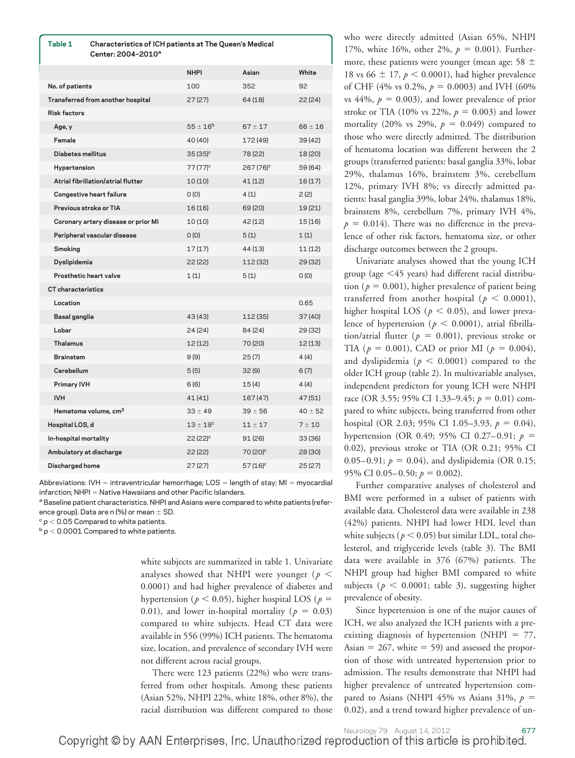| Table 1                            | Characteristics of ICH patients at The Queen's Medical<br>Center: 2004-2010 <sup>a</sup> |                     |                       |             |  |
|------------------------------------|------------------------------------------------------------------------------------------|---------------------|-----------------------|-------------|--|
|                                    |                                                                                          | <b>NHPI</b>         | Asian                 | White       |  |
| No. of patients                    |                                                                                          | 100                 | 352                   | 92          |  |
|                                    | Transferred from another hospital                                                        | 27 (27)             | 64 (18)               | 22(24)      |  |
| <b>Risk factors</b>                |                                                                                          |                     |                       |             |  |
| Age, y                             |                                                                                          | $55 \pm 16^{\rm b}$ | $67 \pm 17$           | $66 \pm 16$ |  |
| Female                             |                                                                                          | 40 (40)             | 172 (49)              | 39 (42)     |  |
| Diabetes mellitus                  |                                                                                          | $35(35)^c$          | 78 (22)               | 18 (20)     |  |
| Hypertension                       |                                                                                          | $77(77)^c$          | $267(76)^c$           | 59 (64)     |  |
| Atrial fibrillation/atrial flutter |                                                                                          | 10 (10)             | 41 (12)               | 16 (17)     |  |
|                                    | <b>Congestive heart failure</b>                                                          | O(0)                | 4(1)                  | 2(2)        |  |
|                                    | Previous stroke or TIA                                                                   | 16 (16)             | 69 (20)               | 19(21)      |  |
|                                    | Coronary artery disease or prior MI                                                      | 10 (10)             | 42 (12)               | 15 (16)     |  |
|                                    | Peripheral vascular disease                                                              | O(0)                | 5(1)                  | 1(1)        |  |
| Smoking                            |                                                                                          | 17(17)              | 44 (13)               | 11 (12)     |  |
| Dyslipidemia                       |                                                                                          | 22 (22)             | 112 (32)              | 29 (32)     |  |
| Prosthetic heart valve             |                                                                                          | 1(1)                | 5(1)                  | O(0)        |  |
| <b>CT</b> characteristics          |                                                                                          |                     |                       |             |  |
| Location                           |                                                                                          |                     |                       | 0.65        |  |
| Basal ganglia                      |                                                                                          | 43 (43)             | 112 (35)              | 37 (40)     |  |
| Lobar                              |                                                                                          | 24 (24)             | 84 (24)               | 29 (32)     |  |
| <b>Thalamus</b>                    |                                                                                          | 12 (12)             | 70 (20)               | 12(13)      |  |
| <b>Brainstem</b>                   |                                                                                          | 9(9)                | 25(7)                 | 4(4)        |  |
| Cerebellum                         |                                                                                          | 5(5)                | 32(9)                 | 6(7)        |  |
| Primary IVH                        |                                                                                          | 6 (6)               | 15 (4)                | 4(4)        |  |
| <b>IVH</b>                         |                                                                                          | 41 (41)             | 167 (47)              | 47 (51)     |  |
|                                    | Hematoma volume, cm <sup>3</sup>                                                         | $33 \pm 49$         | $39 \pm 56$           | $40 \pm 52$ |  |
| Hospital LOS, d                    |                                                                                          | $13 \pm 19^{\circ}$ | $11 \pm 17$           | 7 ± 10      |  |
| In-hospital mortality              |                                                                                          | $22(22)^c$          | 91 (26)               | 33 (36)     |  |
|                                    | Ambulatory at discharge                                                                  |                     | 70 (20) <sup>c</sup>  | 28 (30)     |  |
| Discharged home                    |                                                                                          | 27 (27)             | $57(16)$ <sup>c</sup> | 25 (27)     |  |

Abbreviations: IVH = intraventricular hemorrhage; LOS = length of stay; MI = myocardial infarction; NHPI = Native Hawaiians and other Pacific Islanders.

<sup>a</sup> Baseline patient characteristics. NHPI and Asians were compared to white patients (reference group). Data are n (%) or mean  $\pm$  SD.

 $\degree p < 0.05$  Compared to white patients.

 $b$   $p$   $<$  0.0001 Compared to white patients.

white subjects are summarized in table 1. Univariate analyses showed that NHPI were younger ( $p <$ 0.0001) and had higher prevalence of diabetes and hypertension ( $p < 0.05$ ), higher hospital LOS ( $p =$ 0.01), and lower in-hospital mortality ( $p = 0.03$ ) compared to white subjects. Head CT data were available in 556 (99%) ICH patients. The hematoma size, location, and prevalence of secondary IVH were not different across racial groups.

There were 123 patients (22%) who were transferred from other hospitals. Among these patients (Asian 52%, NHPI 22%, white 18%, other 8%), the racial distribution was different compared to those

who were directly admitted (Asian 65%, NHPI 17%, white 16%, other 2%,  $p = 0.001$ ). Furthermore, these patients were younger (mean age: 58  $\pm$ 18 vs  $66 \pm 17$ ,  $p < 0.0001$ ), had higher prevalence of CHF (4% vs 0.2%,  $p = 0.0003$ ) and IVH (60% vs  $44\%, p = 0.003$ , and lower prevalence of prior stroke or TIA (10% vs 22%,  $p = 0.003$ ) and lower mortality (20% vs 29%,  $p = 0.049$ ) compared to those who were directly admitted. The distribution of hematoma location was different between the 2 groups (transferred patients: basal ganglia 33%, lobar 29%, thalamus 16%, brainstem 3%, cerebellum 12%, primary IVH 8%; vs directly admitted patients: basal ganglia 39%, lobar 24%, thalamus 18%, brainstem 8%, cerebellum 7%, primary IVH 4%,  $p = 0.014$ ). There was no difference in the prevalence of other risk factors, hematoma size, or other discharge outcomes between the 2 groups.

Univariate analyses showed that the young ICH group (age  $\leq$  45 years) had different racial distribution ( $p = 0.001$ ), higher prevalence of patient being transferred from another hospital ( $p < 0.0001$ ), higher hospital LOS ( $p < 0.05$ ), and lower prevalence of hypertension ( $p < 0.0001$ ), atrial fibrillation/atrial flutter ( $p = 0.001$ ), previous stroke or TIA ( $p = 0.001$ ), CAD or prior MI ( $p = 0.004$ ), and dyslipidemia ( $p < 0.0001$ ) compared to the older ICH group (table 2). In multivariable analyses, independent predictors for young ICH were NHPI race (OR 3.55; 95% CI 1.33–9.45;  $p = 0.01$ ) compared to white subjects, being transferred from other hospital (OR 2.03; 95% CI 1.05–3.93,  $p = 0.04$ ), hypertension (OR 0.49; 95% CI 0.27-0.91; *p* = 0.02), previous stroke or TIA (OR 0.21; 95% CI 0.05–0.91;  $p = 0.04$ ), and dyslipidemia (OR 0.15; 95% CI 0.05-0.50;  $p = 0.002$ ).

Further comparative analyses of cholesterol and BMI were performed in a subset of patients with available data. Cholesterol data were available in 238 (42%) patients. NHPI had lower HDL level than white subjects ( $p < 0.05$ ) but similar LDL, total cholesterol, and triglyceride levels (table 3). The BMI data were available in 376 (67%) patients. The NHPI group had higher BMI compared to white subjects ( $p < 0.0001$ ; table 3), suggesting higher prevalence of obesity.

Since hypertension is one of the major causes of ICH, we also analyzed the ICH patients with a preexisting diagnosis of hypertension (NHPI  $= 77$ , Asian  $= 267$ , white  $= 59$ ) and assessed the proportion of those with untreated hypertension prior to admission. The results demonstrate that NHPI had higher prevalence of untreated hypertension compared to Asians (NHPI 45% vs Asians 31%,  $p =$ 0.02), and a trend toward higher prevalence of un-

Neurology 79 August 14, 2012 677 Copyright © by AAN Enterprises, Inc. Unauthorized reproduction of this article is prohibited.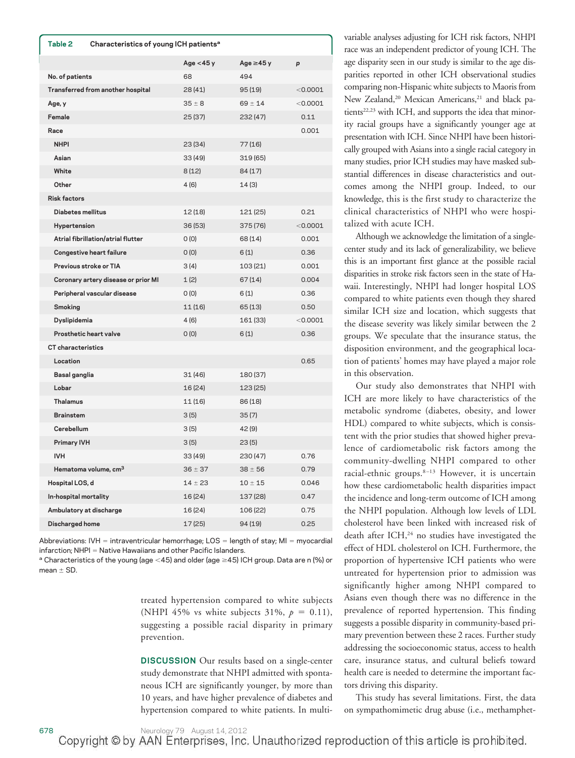| Table 2                             | Characteristics of young ICH patients <sup>a</sup> |             |                 |            |  |
|-------------------------------------|----------------------------------------------------|-------------|-----------------|------------|--|
|                                     |                                                    | Age <45y    | Age $\geq$ 45 y | р          |  |
| No. of patients                     |                                                    | 68          | 494             |            |  |
| Transferred from another hospital   |                                                    | 28 (41)     | 95(19)          | $<$ 0.0001 |  |
| Age, y                              |                                                    | $35 \pm 8$  | $69 \pm 14$     | < 0.0001   |  |
| Female                              |                                                    | 25 (37)     | 232 (47)        | 0.11       |  |
| Race                                |                                                    |             |                 | 0.001      |  |
| <b>NHPI</b>                         |                                                    | 23 (34)     | 77 (16)         |            |  |
| Asian                               |                                                    | 33 (49)     | 319 (65)        |            |  |
| White                               |                                                    | 8(12)       | 84 (17)         |            |  |
| Other                               |                                                    | 4(6)        | 14(3)           |            |  |
| <b>Risk factors</b>                 |                                                    |             |                 |            |  |
| Diabetes mellitus                   |                                                    | 12(18)      | 121 (25)        | 0.21       |  |
| Hypertension                        |                                                    | 36(53)      | 375 (76)        | $<$ 0.0001 |  |
| Atrial fibrillation/atrial flutter  |                                                    | O(0)        | 68 (14)         | 0.001      |  |
| Congestive heart failure            |                                                    | O(0)        | 6(1)            | 0.36       |  |
| Previous stroke or TIA              |                                                    | 3(4)        | 103 (21)        | 0.001      |  |
| Coronary artery disease or prior MI |                                                    | 1(2)        | 67 (14)         | 0.004      |  |
| Peripheral vascular disease         |                                                    | O(0)        | 6(1)            | 0.36       |  |
| <b>Smoking</b>                      |                                                    | 11 (16)     | 65 (13)         | 0.50       |  |
| Dyslipidemia                        |                                                    | 4(6)        | 161 (33)        | < 0.0001   |  |
| Prosthetic heart valve              |                                                    | O(0)        | 6(1)            | 0.36       |  |
| <b>CT</b> characteristics           |                                                    |             |                 |            |  |
| Location                            |                                                    |             |                 | 0.65       |  |
| Basal ganglia                       |                                                    | 31(46)      | 180 (37)        |            |  |
| Lobar                               |                                                    | 16 (24)     | 123 (25)        |            |  |
| <b>Thalamus</b>                     |                                                    | 11 (16)     | 86 (18)         |            |  |
| <b>Brainstem</b>                    |                                                    | 3(5)        | 35(7)           |            |  |
| Cerebellum                          |                                                    | 3(5)        | 42 (9)          |            |  |
| <b>Primary IVH</b>                  |                                                    | 3(5)        | 23 (5)          |            |  |
| <b>IVH</b>                          |                                                    | 33 (49)     | 230 (47)        | 0.76       |  |
| Hematoma volume, cm <sup>3</sup>    |                                                    | $36 \pm 37$ | $38 \pm 56$     | 0.79       |  |
| Hospital LOS, d                     |                                                    | $14 \pm 23$ | $10 \pm 15$     | 0.046      |  |
| In-hospital mortality               |                                                    | 16 (24)     | 137 (28)        | 0.47       |  |
| Ambulatory at discharge             |                                                    | 16 (24)     | 106 (22)        | 0.75       |  |
| Discharged home                     |                                                    | 17 (25)     | 94 (19)         | 0.25       |  |

Abbreviations:  $IVH =$  intraventricular hemorrhage;  $LOS =$  length of stay;  $MI =$  myocardial infarction; NHPI = Native Hawaiians and other Pacific Islanders.

<sup>a</sup> Characteristics of the young (age <45) and older (age  $\geq$ 45) ICH group. Data are n (%) or mean  $\pm$  SD.

> treated hypertension compared to white subjects (NHPI 45% vs white subjects 31%,  $p = 0.11$ ), suggesting a possible racial disparity in primary prevention.

**DISCUSSION** Our results based on a single-center study demonstrate that NHPI admitted with spontaneous ICH are significantly younger, by more than 10 years, and have higher prevalence of diabetes and hypertension compared to white patients. In multi-

variable analyses adjusting for ICH risk factors, NHPI race was an independent predictor of young ICH. The age disparity seen in our study is similar to the age disparities reported in other ICH observational studies comparing non-Hispanic white subjects to Maoris from New Zealand,<sup>20</sup> Mexican Americans,<sup>21</sup> and black patients<sup>22,23</sup> with ICH, and supports the idea that minority racial groups have a significantly younger age at presentation with ICH. Since NHPI have been historically grouped with Asians into a single racial category in many studies, prior ICH studies may have masked substantial differences in disease characteristics and outcomes among the NHPI group. Indeed, to our knowledge, this is the first study to characterize the clinical characteristics of NHPI who were hospitalized with acute ICH.

Although we acknowledge the limitation of a singlecenter study and its lack of generalizability, we believe this is an important first glance at the possible racial disparities in stroke risk factors seen in the state of Hawaii. Interestingly, NHPI had longer hospital LOS compared to white patients even though they shared similar ICH size and location, which suggests that the disease severity was likely similar between the 2 groups. We speculate that the insurance status, the disposition environment, and the geographical location of patients' homes may have played a major role in this observation.

Our study also demonstrates that NHPI with ICH are more likely to have characteristics of the metabolic syndrome (diabetes, obesity, and lower HDL) compared to white subjects, which is consistent with the prior studies that showed higher prevalence of cardiometabolic risk factors among the community-dwelling NHPI compared to other racial-ethnic groups. $8-13$  However, it is uncertain how these cardiometabolic health disparities impact the incidence and long-term outcome of ICH among the NHPI population. Although low levels of LDL cholesterol have been linked with increased risk of death after ICH,<sup>24</sup> no studies have investigated the effect of HDL cholesterol on ICH. Furthermore, the proportion of hypertensive ICH patients who were untreated for hypertension prior to admission was significantly higher among NHPI compared to Asians even though there was no difference in the prevalence of reported hypertension. This finding suggests a possible disparity in community-based primary prevention between these 2 races. Further study addressing the socioeconomic status, access to health care, insurance status, and cultural beliefs toward health care is needed to determine the important factors driving this disparity.

This study has several limitations. First, the data on sympathomimetic drug abuse (i.e., methamphet-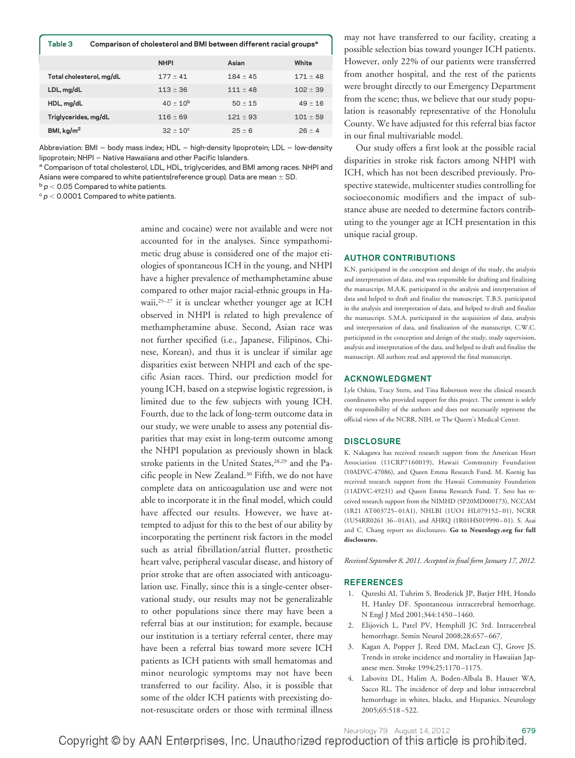| Table 3                  | Comparison of cholesterol and BMI between different racial groups <sup>a</sup> |                    |             |              |  |  |
|--------------------------|--------------------------------------------------------------------------------|--------------------|-------------|--------------|--|--|
|                          |                                                                                | <b>NHPI</b>        | Asian       | White        |  |  |
| Total cholesterol, mg/dL |                                                                                | $177 + 41$         | $184 + 45$  | $171 + 48$   |  |  |
| LDL, mg/dL               |                                                                                | $113 \pm 36$       | $111 + 48$  | $102 \pm 39$ |  |  |
| HDL, mg/dL               |                                                                                | $40 + 10^{b}$      | $50 \pm 15$ | $49 \pm 16$  |  |  |
| Triglycerides, mg/dL     |                                                                                | $116 \pm 69$       | $121 + 93$  | $101 \pm 59$ |  |  |
| BMI, $\text{kg/m}^2$     |                                                                                | $.32 + 10^{\circ}$ | $25 \pm 6$  | $26 + 4$     |  |  |

Abbreviation: BMI = body mass index;  $HDL =$  high-density lipoprotein;  $LDL =$  low-density lipoprotein; NHPI = Native Hawaiians and other Pacific Islanders.

<sup>a</sup> Comparison of total cholesterol, LDL, HDL, triglycerides, and BMI among races. NHPI and Asians were compared to white patients(reference group). Data are mean  $\pm$  SD.

 $b$   $p$   $<$  0.05 Compared to white patients.

 $\degree$  *p*  $<$  0.0001 Compared to white patients.

amine and cocaine) were not available and were not accounted for in the analyses. Since sympathomimetic drug abuse is considered one of the major etiologies of spontaneous ICH in the young, and NHPI have a higher prevalence of methamphetamine abuse compared to other major racial-ethnic groups in Hawaii,<sup>25-27</sup> it is unclear whether younger age at ICH observed in NHPI is related to high prevalence of methamphetamine abuse. Second, Asian race was not further specified (i.e., Japanese, Filipinos, Chinese, Korean), and thus it is unclear if similar age disparities exist between NHPI and each of the specific Asian races. Third, our prediction model for young ICH, based on a stepwise logistic regression, is limited due to the few subjects with young ICH. Fourth, due to the lack of long-term outcome data in our study, we were unable to assess any potential disparities that may exist in long-term outcome among the NHPI population as previously shown in black stroke patients in the United States,<sup>28,29</sup> and the Pacific people in New Zealand.30 Fifth, we do not have complete data on anticoagulation use and were not able to incorporate it in the final model, which could have affected our results. However, we have attempted to adjust for this to the best of our ability by incorporating the pertinent risk factors in the model such as atrial fibrillation/atrial flutter, prosthetic heart valve, peripheral vascular disease, and history of prior stroke that are often associated with anticoagulation use. Finally, since this is a single-center observational study, our results may not be generalizable to other populations since there may have been a referral bias at our institution; for example, because our institution is a tertiary referral center, there may have been a referral bias toward more severe ICH patients as ICH patients with small hematomas and minor neurologic symptoms may not have been transferred to our facility. Also, it is possible that some of the older ICH patients with preexisting donot-resuscitate orders or those with terminal illness may not have transferred to our facility, creating a possible selection bias toward younger ICH patients. However, only 22% of our patients were transferred from another hospital, and the rest of the patients were brought directly to our Emergency Department from the scene; thus, we believe that our study population is reasonably representative of the Honolulu County. We have adjusted for this referral bias factor in our final multivariable model.

Our study offers a first look at the possible racial disparities in stroke risk factors among NHPI with ICH, which has not been described previously. Prospective statewide, multicenter studies controlling for socioeconomic modifiers and the impact of substance abuse are needed to determine factors contributing to the younger age at ICH presentation in this unique racial group.

#### **AUTHOR CONTRIBUTIONS**

K.N. participated in the conception and design of the study, the analysis and interpretation of data, and was responsible for drafting and finalizing the manuscript. M.A.K. participated in the analysis and interpretation of data and helped to draft and finalize the manuscript. T.B.S. participated in the analysis and interpretation of data, and helped to draft and finalize the manuscript. S.M.A. participated in the acquisition of data, analysis and interpretation of data, and finalization of the manuscript. C.W.C. participated in the conception and design of the study, study supervision, analysis and interpretation of the data, and helped to draft and finalize the manuscript. All authors read and approved the final manuscript.

#### **ACKNOWLEDGMENT**

Lyle Oshita, Tracy Stern, and Tina Robertson were the clinical research coordinators who provided support for this project. The content is solely the responsibility of the authors and does not necessarily represent the official views of the NCRR, NIH, or The Queen's Medical Center.

#### **DISCLOSURE**

K. Nakagawa has received research support from the American Heart Association (11CRP7160019), Hawaii Community Foundation (10ADVC-47086), and Queen Emma Research Fund. M. Koenig has received research support from the Hawaii Community Foundation (11ADVC-49231) and Queen Emma Research Fund. T. Seto has received research support from the NIMHD (5P20MD000173), NCCAM (1R21 AT003725– 01A1), NHLBI (1UO1 HL079152– 01), NCRR (1U54RR0261 36-01A1), and AHRQ (1R01HS019990-01). S. Asai and C. Chang report no disclosures. **Go to Neurology.org for full disclosures.**

*Received September 8, 2011. Accepted in final form January 17, 2012.*

#### **REFERENCES**

- 1. Qureshi AI, Tuhrim S, Broderick JP, Batjer HH, Hondo H, Hanley DF. Spontaneous intracerebral hemorrhage. N Engl J Med 2001;344:1450 –1460.
- 2. Elijovich L, Patel PV, Hemphill JC 3rd. Intracerebral hemorrhage. Semin Neurol 2008;28:657– 667.
- 3. Kagan A, Popper J, Reed DM, MacLean CJ, Grove JS. Trends in stroke incidence and mortality in Hawaiian Japanese men. Stroke 1994;25:1170 –1175.
- 4. Labovitz DL, Halim A, Boden-Albala B, Hauser WA, Sacco RL. The incidence of deep and lobar intracerebral hemorrhage in whites, blacks, and Hispanics. Neurology 2005;65:518 –522.

Neurology 79 August 14, 2012 679

Copyright © by AAN Enterprises, Inc. Unauthorized reproduction of this article is prohibited.